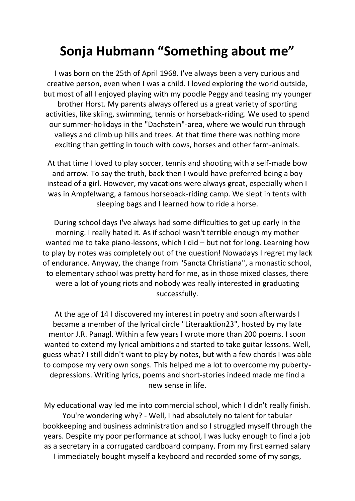## **Sonja Hubmann "Something about me"**

I was born on the 25th of April 1968. I've always been a very curious and creative person, even when I was a child. I loved exploring the world outside, but most of all I enjoyed playing with my poodle Peggy and teasing my younger brother Horst. My parents always offered us a great variety of sporting activities, like skiing, swimming, tennis or horseback-riding. We used to spend our summer-holidays in the "Dachstein"-area, where we would run through valleys and climb up hills and trees. At that time there was nothing more exciting than getting in touch with cows, horses and other farm-animals.

At that time I loved to play soccer, tennis and shooting with a self-made bow and arrow. To say the truth, back then I would have preferred being a boy instead of a girl. However, my vacations were always great, especially when I was in Ampfelwang, a famous horseback-riding camp. We slept in tents with sleeping bags and I learned how to ride a horse.

During school days I've always had some difficulties to get up early in the morning. I really hated it. As if school wasn't terrible enough my mother wanted me to take piano-lessons, which I did – but not for long. Learning how to play by notes was completely out of the question! Nowadays I regret my lack of endurance. Anyway, the change from "Sancta Christiana", a monastic school, to elementary school was pretty hard for me, as in those mixed classes, there were a lot of young riots and nobody was really interested in graduating successfully.

At the age of 14 I discovered my interest in poetry and soon afterwards I became a member of the lyrical circle "Literaaktion23", hosted by my late mentor J.R. Panagl. Within a few years I wrote more than 200 poems. I soon wanted to extend my lyrical ambitions and started to take guitar lessons. Well, guess what? I still didn't want to play by notes, but with a few chords I was able to compose my very own songs. This helped me a lot to overcome my pubertydepressions. Writing lyrics, poems and short-stories indeed made me find a new sense in life.

My educational way led me into commercial school, which I didn't really finish. You're wondering why? - Well, I had absolutely no talent for tabular bookkeeping and business administration and so I struggled myself through the years. Despite my poor performance at school, I was lucky enough to find a job as a secretary in a corrugated cardboard company. From my first earned salary

I immediately bought myself a keyboard and recorded some of my songs,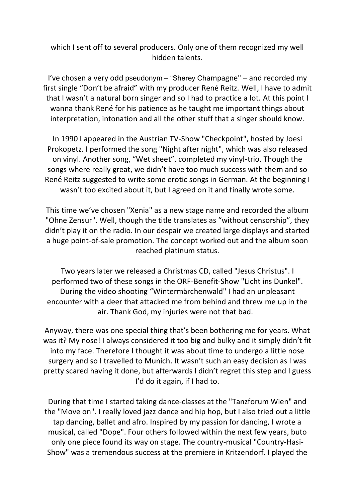which I sent off to several producers. Only one of them recognized my well hidden talents.

I've chosen a very odd pseudonym – "Sherey Champagne" – and recorded my first single "Don't be afraid" with my producer René Reitz. Well, I have to admit that I wasn't a natural born singer and so I had to practice a lot. At this point I wanna thank René for his patience as he taught me important things about interpretation, intonation and all the other stuff that a singer should know.

In 1990 I appeared in the Austrian TV-Show "Checkpoint", hosted by Joesi Prokopetz. I performed the song "Night after night", which was also released on vinyl. Another song, "Wet sheet", completed my vinyl-trio. Though the songs where really great, we didn't have too much success with them and so René Reitz suggested to write some erotic songs in German. At the beginning I wasn't too excited about it, but I agreed on it and finally wrote some.

This time we've chosen "Xenia" as a new stage name and recorded the album "Ohne Zensur". Well, though the title translates as "without censorship", they didn't play it on the radio. In our despair we created large displays and started a huge point-of-sale promotion. The concept worked out and the album soon reached platinum status.

Two years later we released a Christmas CD, called "Jesus Christus". I performed two of these songs in the ORF-Benefit-Show "Licht ins Dunkel". During the video shooting "Wintermärchenwald" I had an unpleasant encounter with a deer that attacked me from behind and threw me up in the air. Thank God, my injuries were not that bad.

Anyway, there was one special thing that's been bothering me for years. What was it? My nose! I always considered it too big and bulky and it simply didn't fit into my face. Therefore I thought it was about time to undergo a little nose surgery and so I travelled to Munich. It wasn't such an easy decision as I was pretty scared having it done, but afterwards I didn't regret this step and I guess I'd do it again, if I had to.

During that time I started taking dance-classes at the "Tanzforum Wien" and the "Move on". I really loved jazz dance and hip hop, but I also tried out a little tap dancing, ballet and afro. Inspired by my passion for dancing, I wrote a musical, called "Dope". Four others followed within the next few years, buto only one piece found its way on stage. The country-musical "Country-Hasi-Show" was a tremendous success at the premiere in Kritzendorf. I played the